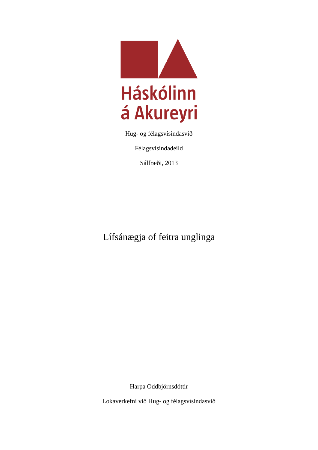

Hug- og félagsvísindasvið

Félagsvísindadeild

Sálfræði, 2013

Lífsánægja of feitra unglinga

Harpa Oddbjörnsdóttir

Lokaverkefni við Hug- og félagsvísindasvið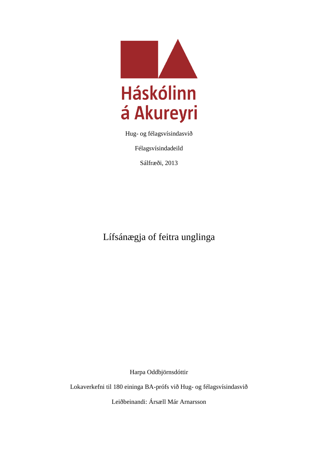

Hug- og félagsvísindasvið

Félagsvísindadeild

Sálfræði, 2013

Lífsánægja of feitra unglinga

Harpa Oddbjörnsdóttir

Lokaverkefni til 180 eininga BA-prófs við Hug- og félagsvísindasvið

Leiðbeinandi: Ársæll Már Arnarsson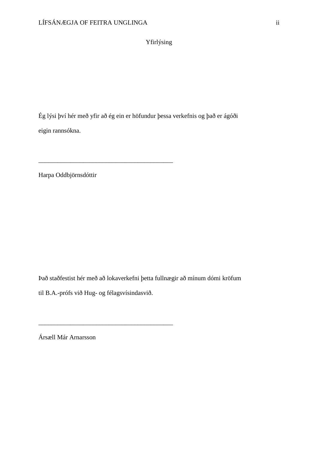Yfirlýsing

Ég lýsi því hér með yfir að ég ein er höfundur þessa verkefnis og það er ágóði eigin rannsókna.

Harpa Oddbjörnsdóttir

Það staðfestist hér með að lokaverkefni þetta fullnægir að mínum dómi kröfum

til B.A.-prófs við Hug- og félagsvísindasvið.

\_\_\_\_\_\_\_\_\_\_\_\_\_\_\_\_\_\_\_\_\_\_\_\_\_\_\_\_\_\_\_\_\_\_\_\_\_\_\_\_\_\_

\_\_\_\_\_\_\_\_\_\_\_\_\_\_\_\_\_\_\_\_\_\_\_\_\_\_\_\_\_\_\_\_\_\_\_\_\_\_\_\_\_\_

Ársæll Már Arnarsson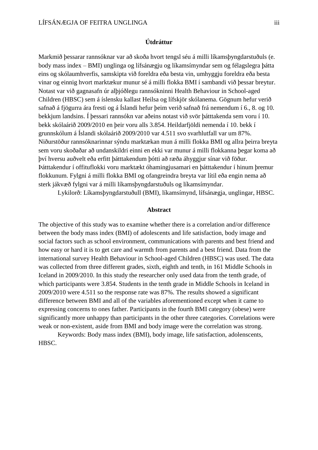## **Útdráttur**

Markmið þessarar rannsóknar var að skoða hvort tengsl séu á milli líkamsþyngdarstuðuls (e. body mass index – BMI) unglinga og lífsánægju og líkamsímyndar sem og félagslegra þátta eins og skólaumhverfis, samskipta við foreldra eða besta vin, umhyggju foreldra eða besta vinar og einnig hvort marktækur munur sé á milli flokka BMI í sambandi við þessar breytur. Notast var við gagnasafn úr alþjóðlegu rannsókninni Health Behaviour in School-aged Children (HBSC) sem á íslensku kallast Heilsa og lífskjör skólanema. Gögnum hefur verið safnað á fjögurra ára fresti og á Íslandi hefur þeim verið safnað frá nemendum í 6., 8. og 10. bekkjum landsins. Í þessari rannsókn var aðeins notast við svör þátttakenda sem voru í 10. bekk skólaárið 2009/2010 en þeir voru alls 3.854. Heildarfjöldi nemenda í 10. bekk í grunnskólum á Íslandi skólaárið 2009/2010 var 4.511 svo svarhlutfall var um 87%. Niðurstöður rannsóknarinnar sýndu marktækan mun á milli flokka BMI og allra þeirra breyta sem voru skoðaðar að undanskildri einni en ekki var munur á milli flokkanna þegar koma að því hversu auðvelt eða erfitt þátttakendum þótti að ræða áhyggjur sínar við föður. Þátttakendur í offituflokki voru marktækt óhamingjusamari en þátttakendur í hinum þremur flokkunum. Fylgni á milli flokka BMI og ofangreindra breyta var lítil eða engin nema að sterk jákvæð fylgni var á milli líkamsþyngdarstuðuls og líkamsímyndar.

Lykilorð: Líkamsþyngdarstuðull (BMI), líkamsímynd, lífsánægja, unglingar, HBSC.

#### **Abstract**

The objective of this study was to examine whether there is a correlation and/or difference between the body mass index (BMI) of adolescents and life satisfaction, body image and social factors such as school environment, communications with parents and best friend and how easy or hard it is to get care and warmth from parents and a best friend. Data from the international survey Health Behaviour in School-aged Children (HBSC) was used. The data was collected from three different grades, sixth, eighth and tenth, in 161 Middle Schools in Iceland in 2009/2010. In this study the researcher only used data from the tenth grade, of which participants were 3.854. Students in the tenth grade in Middle Schools in Iceland in 2009/2010 were 4.511 so the response rate was 87%. The results showed a significant difference between BMI and all of the variables aforementioned except when it came to expressing concerns to ones father. Participants in the fourth BMI category (obese) were significantly more unhappy than participants in the other three categories. Correlations were weak or non-existent, aside from BMI and body image were the correlation was strong.

Keywords: Body mass index (BMI), body image, life satisfaction, adolenscents, HBSC.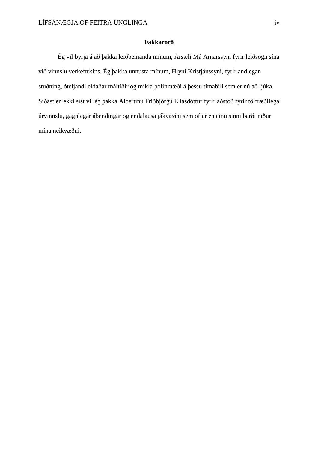#### **Þakkarorð**

Ég vil byrja á að þakka leiðbeinanda mínum, Ársæli Má Arnarssyni fyrir leiðsögn sína við vinnslu verkefnisins. Ég þakka unnusta mínum, Hlyni Kristjánssyni, fyrir andlegan stuðning, óteljandi eldaðar máltíðir og mikla þolinmæði á þessu tímabili sem er nú að ljúka. Síðast en ekki síst vil ég þakka Albertínu Friðbjörgu Elíasdóttur fyrir aðstoð fyrir tölfræðilega úrvinnslu, gagnlegar ábendingar og endalausa jákvæðni sem oftar en einu sinni barði niður mína neikvæðni.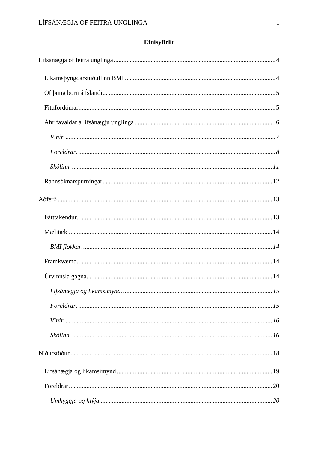# Efnisyfirlit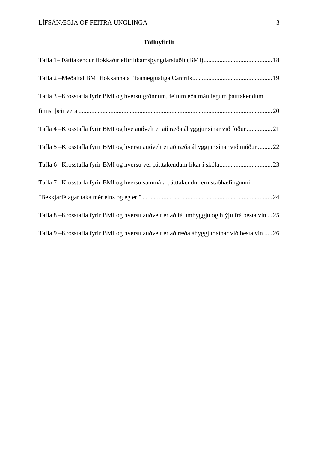# **Töfluyfirlit**

| Tafla 3 - Krosstafla fyrir BMI og hversu grönnum, feitum eða mátulegum þátttakendum           |
|-----------------------------------------------------------------------------------------------|
|                                                                                               |
| Tafla 4 – Krosstafla fyrir BMI og hve auðvelt er að ræða áhyggjur sínar við föður 21          |
| Tafla 5 – Krosstafla fyrir BMI og hversu auðvelt er að ræða áhyggjur sínar við móður  22      |
|                                                                                               |
| Tafla 7 - Krosstafla fyrir BMI og hversu sammála þátttakendur eru staðhæfingunni              |
|                                                                                               |
| Tafla 8 - Krosstafla fyrir BMI og hversu auðvelt er að fá umhyggju og hlýju frá besta vin  25 |
| Tafla 9 - Krosstafla fyrir BMI og hversu auðvelt er að ræða áhyggjur sínar við besta vin  26  |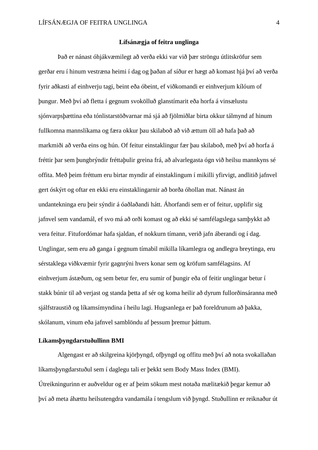#### **Lífsánægja of feitra unglinga**

Það er nánast óhjákvæmilegt að verða ekki var við þær ströngu útlitskröfur sem gerðar eru í hinum vestræna heimi í dag og þaðan af síður er hægt að komast hjá því að verða fyrir aðkasti af einhverju tagi, beint eða óbeint, ef viðkomandi er einhverjum kílóum of þungur. Með því að fletta í gegnum svokölluð glanstímarit eða horfa á vinsælustu sjónvarpsþættina eða tónlistarstöðvarnar má sjá að fjölmiðlar birta okkur tálmynd af hinum fullkomna mannslíkama og færa okkur þau skilaboð að við ættum öll að hafa það að markmiði að verða eins og hún. Of feitur einstaklingur fær þau skilaboð, með því að horfa á fréttir þar sem þungbrýndir fréttaþulir greina frá, að alvarlegasta ógn við heilsu mannkyns sé offita. Með þeim fréttum eru birtar myndir af einstaklingum í mikilli yfirvigt, andlitið jafnvel gert óskýrt og oftar en ekki eru einstaklingarnir að borða óhollan mat. Nánast án undantekninga eru þeir sýndir á óaðlaðandi hátt. Áhorfandi sem er of feitur, upplifir sig jafnvel sem vandamál, ef svo má að orði komast og að ekki sé samfélagslega samþykkt að vera feitur. Fitufordómar hafa sjaldan, ef nokkurn tímann, verið jafn áberandi og í dag. Unglingar, sem eru að ganga í gegnum tímabil mikilla líkamlegra og andlegra breytinga, eru sérstaklega viðkvæmir fyrir gagnrýni hvers konar sem og kröfum samfélagsins. Af einhverjum ástæðum, og sem betur fer, eru sumir of þungir eða of feitir unglingar betur í stakk búnir til að verjast og standa þetta af sér og koma heilir að dyrum fullorðinsáranna með sjálfstraustið og líkamsímyndina í heilu lagi. Hugsanlega er það foreldrunum að þakka, skólanum, vinum eða jafnvel samblöndu af þessum þremur þáttum.

#### **Líkamsþyngdarstuðullinn BMI**

Algengast er að skilgreina kjörþyngd, ofþyngd og offitu með því að nota svokallaðan líkamsþyngdarstuðul sem í daglegu tali er þekkt sem Body Mass Index (BMI). Útreikningurinn er auðveldur og er af þeim sökum mest notaða mælitækið þegar kemur að því að meta áhættu heilsutengdra vandamála í tengslum við þyngd. Stuðullinn er reiknaður út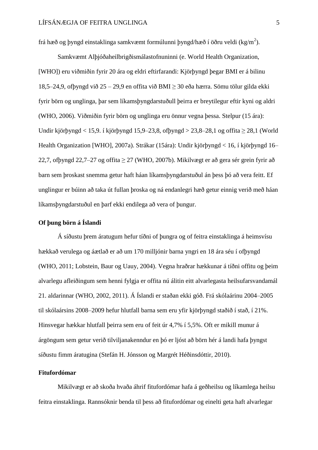frá hæð og þyngd einstaklinga samkvæmt formúlunni þyngd/hæð í öðru veldi (kg/m<sup>2</sup>).

Samkvæmt Alþjóðaheilbrigðismálastofnuninni (e. World Health Organization, [WHO]) eru viðmiðin fyrir 20 ára og eldri eftirfarandi: Kjörþyngd þegar BMI er á bilinu 18,5–24,9, ofþyngd við 25 – 29,9 en offita við BMI ≥ 30 eða hærra. Sömu tölur gilda ekki fyrir börn og unglinga, þar sem líkamsþyngdarstuðull þeirra er breytilegur eftir kyni og aldri (WHO, 2006). Viðmiðin fyrir börn og unglinga eru önnur vegna þessa. Stelpur (15 ára): Undir kjörþyngd < 15,9. í kjörþyngd 15,9–23,8, ofbyngd > 23,8–28,1 og offita  $\geq 28,1$  (World Health Organization [WHO], 2007a). Strákar (15ára): Undir kjörþyngd < 16, í kjörþyngd 16– 22,7, ofbyngd 22,7–27 og offita  $\geq$  27 (WHO, 2007b). Mikilvægt er að gera sér grein fyrir að barn sem þroskast snemma getur haft háan líkamsþyngdarstuðul án þess þó að vera feitt. Ef unglingur er búinn að taka út fullan þroska og ná endanlegri hæð getur einnig verið með háan líkamsþyngdarstuðul en þarf ekki endilega að vera of þungur.

# **Of þung börn á Íslandi**

Á síðustu þrem áratugum hefur tíðni of þungra og of feitra einstaklinga á heimsvísu hækkað verulega og áætlað er að um 170 milljónir barna yngri en 18 ára séu í ofþyngd (WHO, 2011; Lobstein, Baur og Uauy, 2004). Vegna hraðrar hækkunar á tíðni offitu og þeim alvarlegu afleiðingum sem henni fylgja er offita nú álitin eitt alvarlegasta heilsufarsvandamál 21. aldarinnar (WHO, 2002, 2011). Á Íslandi er staðan ekki góð. Frá skólaárinu 2004–2005 til skólaársins 2008–2009 hefur hlutfall barna sem eru yfir kjörþyngd staðið í stað, í 21%. Hinsvegar hækkar hlutfall þeirra sem eru of feit úr 4,7% í 5,5%. Oft er mikill munur á árgöngum sem getur verið tilviljanakenndur en þó er ljóst að börn hér á landi hafa þyngst síðustu fimm áratugina (Stefán H. Jónsson og Margrét Héðinsdóttir, 2010).

### **Fitufordómar**

Mikilvægt er að skoða hvaða áhrif fitufordómar hafa á geðheilsu og líkamlega heilsu feitra einstaklinga. Rannsóknir benda til þess að fitufordómar og einelti geta haft alvarlegar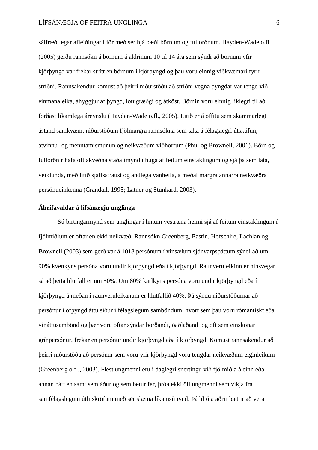sálfræðilegar afleiðingar í för með sér hjá bæði börnum og fullorðnum. Hayden-Wade o.fl. (2005) gerðu rannsókn á börnum á aldrinum 10 til 14 ára sem sýndi að börnum yfir kjörþyngd var frekar strítt en börnum í kjörþyngd og þau voru einnig viðkvæmari fyrir stríðni. Rannsakendur komust að þeirri niðurstöðu að stríðni vegna þyngdar var tengd við einmanaleika, áhyggjur af þyngd, lotugræðgi og átköst. Börnin voru einnig líklegri til að forðast líkamlega áreynslu (Hayden-Wade o.fl., 2005). Litið er á offitu sem skammarlegt ástand samkvæmt niðurstöðum fjölmargra rannsókna sem taka á félagslegri útskúfun, atvinnu- og menntamismunun og neikvæðum viðhorfum (Phul og Brownell, 2001). Börn og fullorðnir hafa oft ákveðna staðalímynd í huga af feitum einstaklingum og sjá þá sem lata, veiklunda, með lítið sjálfsstraust og andlega vanheila, á meðal margra annarra neikvæðra persónueinkenna (Crandall, 1995; Latner og Stunkard, 2003).

## **Áhrifavaldar á lífsánægju unglinga**

Sú birtingarmynd sem unglingar í hinum vestræna heimi sjá af feitum einstaklingum í fjölmiðlum er oftar en ekki neikvæð. Rannsókn Greenberg, Eastin, Hofschire, Lachlan og Brownell (2003) sem gerð var á 1018 persónum í vinsælum sjónvarpsþáttum sýndi að um 90% kvenkyns persóna voru undir kjörþyngd eða í kjörþyngd. Raunveruleikinn er hinsvegar sá að þetta hlutfall er um 50%. Um 80% karlkyns persóna voru undir kjörþyngd eða í kjörþyngd á meðan í raunveruleikanum er hlutfallið 40%. Þá sýndu niðurstöðurnar að persónur í ofþyngd áttu síður í félagslegum samböndum, hvort sem þau voru rómantískt eða vináttusambönd og þær voru oftar sýndar borðandi, óaðlaðandi og oft sem einskonar grínpersónur, frekar en persónur undir kjörþyngd eða í kjörþyngd. Komust rannsakendur að þeirri niðurstöðu að persónur sem voru yfir kjörþyngd voru tengdar neikvæðum eiginleikum (Greenberg o.fl., 2003). Flest ungmenni eru í daglegri snertingu við fjölmiðla á einn eða annan hátt en samt sem áður og sem betur fer, þróa ekki öll ungmenni sem víkja frá samfélagslegum útlitskröfum með sér slæma líkamsímynd. Þá hljóta aðrir þættir að vera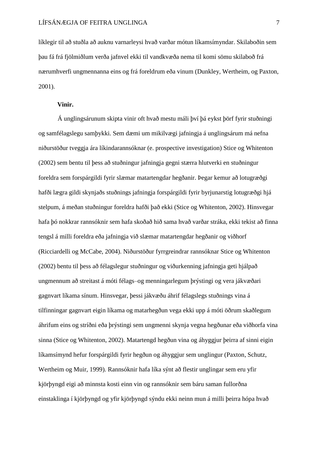líklegir til að stuðla að auknu varnarleysi hvað varðar mótun líkamsímyndar. Skilaboðin sem þau fá frá fjölmiðlum verða jafnvel ekki til vandkvæða nema til komi sömu skilaboð frá nærumhverfi ungmennanna eins og frá foreldrum eða vinum (Dunkley, Wertheim, og Paxton, 2001).

#### **Vinir.**

Á unglingsárunum skipta vinir oft hvað mestu máli því þá eykst þörf fyrir stuðningi og samfélagslegu samþykki. Sem dæmi um mikilvægi jafningja á unglingsárum má nefna niðurstöður tveggja ára líkindarannsóknar (e. prospective investigation) Stice og Whitenton (2002) sem bentu til þess að stuðningur jafningja gegni stærra hlutverki en stuðningur foreldra sem forspárgildi fyrir slæmar matartengdar hegðanir. Þegar kemur að lotugræðgi hafði lægra gildi skynjaðs stuðnings jafningja forspárgildi fyrir byrjunarstig lotugræðgi hjá stelpum, á meðan stuðningur foreldra hafði það ekki (Stice og Whitenton, 2002). Hinsvegar hafa þó nokkrar rannsóknir sem hafa skoðað hið sama hvað varðar stráka, ekki tekist að finna tengsl á milli foreldra eða jafningja við slæmar matartengdar hegðanir og viðhorf (Ricciardelli og McCabe, 2004). Niðurstöður fyrrgreindrar rannsóknar Stice og Whitenton (2002) bentu til þess að félagslegur stuðningur og viðurkenning jafningja geti hjálpað ungmennum að streitast á móti félags–og menningarlegum þrýstingi og vera jákvæðari gagnvart líkama sínum. Hinsvegar, þessi jákvæðu áhrif félagslegs stuðnings vina á tilfinningar gagnvart eigin líkama og matarhegðun vega ekki upp á móti öðrum skaðlegum áhrifum eins og stríðni eða þrýstingi sem ungmenni skynja vegna hegðunar eða viðhorfa vina sinna (Stice og Whitenton, 2002). Matartengd hegðun vina og áhyggjur þeirra af sinni eigin líkamsímynd hefur forspárgildi fyrir hegðun og áhyggjur sem unglingur (Paxton, Schutz, Wertheim og Muir, 1999). Rannsóknir hafa líka sýnt að flestir unglingar sem eru yfir kjörþyngd eigi að minnsta kosti einn vin og rannsóknir sem báru saman fullorðna einstaklinga í kjörþyngd og yfir kjörþyngd sýndu ekki neinn mun á milli þeirra hópa hvað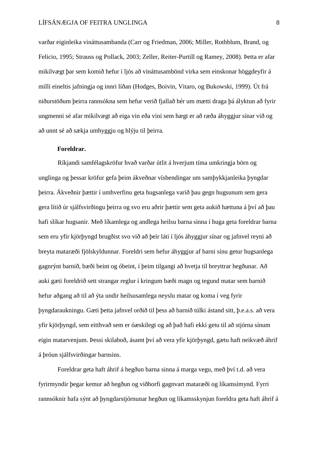varðar eiginleika vináttusambanda (Carr og Friedman, 2006; Miller, Rothblum, Brand, og Felicio, 1995; Strauss og Pollack, 2003; Zeller, Reiter-Purtill og Ramey, 2008). Þetta er afar mikilvægt þar sem komið hefur í ljós að vináttusambönd virka sem einskonar höggdeyfir á milli eineltis jafningja og innri líðan (Hodges, Boivin, Vitaro, og Bukowski, 1999). Út frá niðurstöðum þeirra rannsókna sem hefur verið fjallað hér um mætti draga þá ályktun að fyrir ungmenni sé afar mikilvægt að eiga vin eða vini sem hægt er að ræða áhyggjur sínar við og að unnt sé að sækja umhyggju og hlýju til þeirra.

#### **Foreldrar.**

Ríkjandi samfélagskröfur hvað varðar útlit á hverjum tíma umkringja börn og unglinga og þessar kröfur gefa þeim ákveðnar vísbendingar um samþykkjanleika þyngdar þeirra. Ákveðnir þættir í umhverfinu geta hugsanlega varið þau gegn hugsunum sem gera gera lítið úr sjálfsvirðingu þeirra og svo eru aðrir þættir sem geta aukið hættuna á því að þau hafi slíkar hugsanir. Með líkamlega og andlega heilsu barna sinna í huga geta foreldrar barna sem eru yfir kjörþyngd brugðist svo við að þeir láti í ljós áhyggjur sínar og jafnvel reyni að breyta mataræði fjölskyldunnar. Foreldri sem hefur áhyggjur af barni sínu getur hugsanlega gagnrýnt barnið, bæði beint og óbeint, í þeim tilgangi að hvetja til breyttrar hegðunar. Að auki gæti foreldrið sett strangar reglur í kringum bæði magn og tegund matar sem barnið hefur aðgang að til að ýta undir heilsusamlega neyslu matar og koma í veg fyrir þyngdaraukningu. Gæti þetta jafnvel orðið til þess að barnið túlki ástand sitt, þ.e.a.s. að vera yfir kjörþyngd, sem eitthvað sem er óæskilegt og að það hafi ekki getu til að stjórna sínum eigin matarvenjum. Þessi skilaboð, ásamt því að vera yfir kjörþyngd, gætu haft neikvæð áhrif á þróun sjálfsvirðingar barnsins.

Foreldrar geta haft áhrif á hegðun barna sinna á marga vegu, með því t.d. að vera fyrirmyndir þegar kemur að hegðun og viðhorfi gagnvart mataræði og líkamsímynd. Fyrri rannsóknir hafa sýnt að þyngdarstjórnunar hegðun og líkamsskynjun foreldra geta haft áhrif á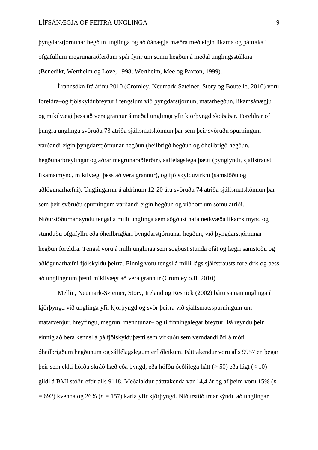þyngdarstjórnunar hegðun unglinga og að óánægja mæðra með eigin líkama og þátttaka í öfgafullum megrunaraðferðum spái fyrir um sömu hegðun á meðal unglingsstúlkna (Benedikt, Wertheim og Love, 1998; Wertheim, Mee og Paxton, 1999).

Í rannsókn frá árinu 2010 (Cromley, Neumark-Szteiner, Story og Boutelle, 2010) voru foreldra–og fjölskyldubreytur í tengslum við þyngdarstjórnun, matarhegðun, líkamsánægju og mikilvægi þess að vera grannur á meðal unglinga yfir kjörþyngd skoðaðar. Foreldrar of þungra unglinga svöruðu 73 atriða sjálfsmatskönnun þar sem þeir svöruðu spurningum varðandi eigin þyngdarstjórnunar hegðun (heilbrigð hegðun og óheilbrigð hegðun, hegðunarbreytingar og aðrar megrunaraðferðir), sálfélagslega þætti (þynglyndi, sjálfstraust, líkamsímynd, mikilvægi þess að vera grannur), og fjölskylduvirkni (samstöðu og aðlögunarhæfni). Unglingarnir á aldrinum 12-20 ára svöruðu 74 atriða sjálfsmatskönnun þar sem þeir svöruðu spurningum varðandi eigin hegðun og viðhorf um sömu atriði. Niðurstöðurnar sýndu tengsl á milli unglinga sem sögðust hafa neikvæða líkamsímynd og stunduðu öfgafyllri eða óheilbrigðari þyngdarstjórnunar hegðun, við þyngdarstjórnunar hegðun foreldra. Tengsl voru á milli unglinga sem sögðust stunda ofát og lægri samstöðu og aðlögunarhæfni fjölskyldu þeirra. Einnig voru tengsl á milli lágs sjálfstrausts foreldris og þess að unglingnum þætti mikilvægt að vera grannur (Cromley o.fl. 2010).

Mellin, Neumark-Szteiner, Story, Ireland og Resnick (2002) báru saman unglinga í kjörþyngd við unglinga yfir kjörþyngd og svör þeirra við sjálfsmatsspurningum um matarvenjur, hreyfingu, megrun, menntunar– og tilfinningalegar breytur. Þá reyndu þeir einnig að bera kennsl á þá fjölskylduþætti sem virkuðu sem verndandi öfl á móti óheilbrigðum hegðunum og sálfélagslegum erfiðleikum. Þátttakendur voru alls 9957 en þegar þeir sem ekki höfðu skráð hæð eða þyngd, eða höfðu óeðlilega hátt (> 50) eða lágt (< 10) gildi á BMI stóðu eftir alls 9118. Meðalaldur þátttakenda var 14,4 ár og af þeim voru 15% (*n* = 692) kvenna og 26% (*n* = 157) karla yfir kjörþyngd. Niðurstöðurnar sýndu að unglingar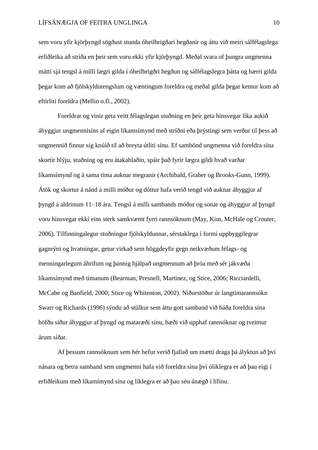sem voru yfir kjörþyngd sögðust stunda óheilbrigðari hegðanir og áttu við meiri sálfélagslega erfiðleika að stríða en þeir sem voru ekki yfir kjörþyngd. Meðal svara of þungra ungmenna mátti sjá tengsl á milli lægri gilda í óheilbrigðri hegðun og sálfélagslegra þátta og hærri gilda þegar kom að fjölskyldutengslum og væntingum foreldra og meðal gilda þegar kemur kom að eftirliti foreldra (Mellin o.fl., 2002).

Foreldrar og vinir geta veitt félagslegan stuðning en þeir geta hinsvegar líka aukið áhyggjur ungmennisins af eigin líkamsímynd með stríðni eða þrýstingi sem verður til þess að ungmennið finnur sig knúið til að breyta útliti sínu. Ef sambönd ungmenna við foreldra sína skortir hlýju, stuðning og eru átakahlaðin, spáir það fyrir lægra gildi hvað varðar líkamsímynd og á sama tíma auknar megranir (Archibald, Graber og Brooks-Gunn, 1999). Átök og skortur á nánd á milli móður og dóttur hafa verið tengd við auknar áhyggjur af þyngd á aldrinum 11–18 ára. Tengsl á milli sambands móður og sonar og áhyggjur af þyngd voru hinsvegar ekki eins sterk samkvæmt fyrri rannsóknum (May, Kim, McHale og Crouter, 2006). Tilfinningalegur stuðningur fjölskyldunnar, sérstaklega í formi uppbyggilegrar gagnrýni og hvatningar, getur virkað sem höggdeyfir gegn neikvæðum félags- og menningarlegum áhrifum og þannig hjálpað ungmennum að þróa með sér jákvæða líkamsímynd með tímanum (Bearman, Presnell, Martinez, og Stice, 2006; Ricciardelli, McCabe og Banfield, 2000; Stice og Whitenton, 2002). Niðurstöður úr langtímarannsókn Swarr og Richards (1996) sýndu að stúlkur sem áttu gott samband við báða foreldra sína höfðu síður áhyggjur af þyngd og mataræði sínu, bæði við upphaf rannsóknar og tveimur árum síðar.

Af þessum rannsóknum sem hér hefur verið fjallað um mætti draga þá ályktun að því nánara og betra samband sem ungmenni hafa við foreldra sína því ólíklegra er að þau eigi í erfiðleikum með líkamímynd sína og líklegra er að þau séu ánægð í lífinu.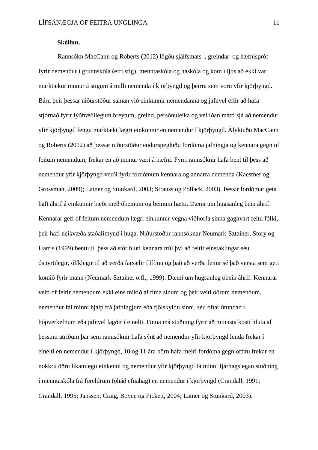## **Skólinn.**

Rannsókn MacCann og Roberts (2012) lögðu sjálfsmats–, greindar–og hæfnispróf fyrir nemendur í grunnskóla (efri stig), menntaskóla og háskóla og kom í ljós að ekki var marktækur munur á stigum á milli nemenda í kjörþyngd og þeirra sem voru yfir kjörþyngd. Báru þeir þessar niðurstöður saman við einkunnir nemendanna og jafnvel eftir að hafa stjórnað fyrir lýðfræðilegum breytum, greind, persónuleika og vellíðan mátti sjá að nemendur yfir kjörþyngd fengu marktækt lægri einkunnir en nemendur í kjörþyngd. Ályktuðu MacCann og Roberts (2012) að þessar niðurstöður endurspegluðu fordóma jafningja og kennara gegn of feitum nemendum, frekar en að munur væri á hæfni. Fyrri rannsóknir hafa bent til þess að nemendur yfir kjörþyngd verði fyrir fordómum kennara og annarra nemenda (Kaestner og Grossman, 2009); Latner og Stunkard, 2003; Strauss og Pollack, 2003). Þessir fordómar geta haft áhrif á einkunnir bæði með óbeinum og beinum hætti. Dæmi um hugsanleg bein áhrif: Kennarar gefi of feitum nemendum lægri einkunnir vegna viðhorfa sinna gagnvart feitu fólki, þeir hafi neikvæða staðalímynd í huga. Niðurstöður rannsóknar Neumark-Sztainer, Story og Harris (1999) bentu til þess að stór hluti kennara trúi því að feitir einstaklingar séu ósnyrtilegir, ólíklegir til að verða farsælir í lífinu og það að verða feitur sé það versta sem geti komið fyrir mann (Neumark-Sztainer o.fl., 1999). Dæmi um hugsanleg óbein áhrif: Kennarar veiti of feitir nemendum ekki eins mikið af tíma sínum og þeir veiti öðrum nemendum, nemendur fái minni hjálp frá jafningjum eða fjölskyldu sinni, séu oftar útundan í hópverkefnum eða jafnvel lagðir í einelti. Finna má stuðning fyrir að minnsta kosti hluta af þessum atriðum þar sem rannsóknir hafa sýnt að nemendur yfir kjörþyngd lenda frekar í einelti en nemendur í kjörþyngd, 10 og 11 ára börn hafa meiri fordóma gegn offitu frekar en nokkru öðru líkamlegu einkenni og nemendur yfir kjörþyngd fá minni fjárhagslegan stuðning í menntaskóla frá foreldrum (óháð efnahag) en nemendur í kjörþyngd (Crandall, 1991; Crandall, 1995; Janssen, Craig, Boyce og Pickett, 2004; Latner og Stunkard, 2003).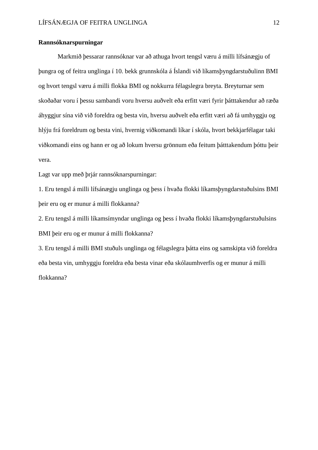## **Rannsóknarspurningar**

Markmið þessarar rannsóknar var að athuga hvort tengsl væru á milli lífsánægju of þungra og of feitra unglinga í 10. bekk grunnskóla á Íslandi við líkamsþyngdarstuðulinn BMI og hvort tengsl væru á milli flokka BMI og nokkurra félagslegra breyta. Breyturnar sem skoðaðar voru í þessu sambandi voru hversu auðvelt eða erfitt væri fyrir þátttakendur að ræða áhyggjur sína við við foreldra og besta vin, hversu auðvelt eða erfitt væri að fá umhyggju og hlýju frá foreldrum og besta vini, hvernig viðkomandi líkar í skóla, hvort bekkjarfélagar taki viðkomandi eins og hann er og að lokum hversu grönnum eða feitum þátttakendum þóttu þeir vera.

Lagt var upp með þrjár rannsóknarspurningar:

1. Eru tengsl á milli lífsánægju unglinga og þess í hvaða flokki líkamsþyngdarstuðulsins BMI þeir eru og er munur á milli flokkanna?

2. Eru tengsl á milli líkamsímyndar unglinga og þess í hvaða flokki líkamsþyngdarstuðulsins BMI þeir eru og er munur á milli flokkanna?

3. Eru tengsl á milli BMI stuðuls unglinga og félagslegra þátta eins og samskipta við foreldra eða besta vin, umhyggju foreldra eða besta vinar eða skólaumhverfis og er munur á milli flokkanna?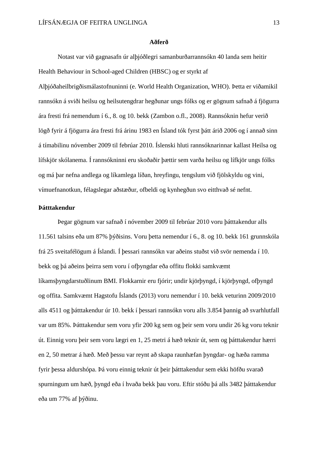#### **Aðferð**

Notast var við gagnasafn úr alþjóðlegri samanburðarrannsókn 40 landa sem heitir Health Behaviour in School-aged Children (HBSC) og er styrkt af Alþjóðaheilbrigðismálastofnuninni (e. World Health Organization, WHO). Þetta er viðamikil rannsókn á sviði heilsu og heilsutengdrar hegðunar ungs fólks og er gögnum safnað á fjögurra ára fresti frá nemendum í 6., 8. og 10. bekk (Zambon o.fl., 2008). Rannsóknin hefur verið lögð fyrir á fjögurra ára fresti frá árinu 1983 en Ísland tók fyrst þátt árið 2006 og í annað sinn á tímabilinu nóvember 2009 til febrúar 2010. Íslenski hluti rannsóknarinnar kallast Heilsa og lífskjör skólanema. Í rannsókninni eru skoðaðir þættir sem varða heilsu og lífkjör ungs fólks og má þar nefna andlega og líkamlega líðan, hreyfingu, tengslum við fjölskyldu og vini, vímuefnanotkun, félagslegar aðstæður, ofbeldi og kynhegðun svo eitthvað sé nefnt.

## **Þátttakendur**

Þegar gögnum var safnað í nóvember 2009 til febrúar 2010 voru þátttakendur alls 11.561 talsins eða um 87% þýðisins. Voru þetta nemendur í 6., 8. og 10. bekk 161 grunnskóla frá 25 sveitafélögum á Íslandi. Í þessari rannsókn var aðeins stuðst við svör nemenda í 10. bekk og þá aðeins þeirra sem voru í ofþyngdar eða offitu flokki samkvæmt líkamsþyngdarstuðlinum BMI. Flokkarnir eru fjórir; undir kjörþyngd, í kjörþyngd, ofþyngd og offita. Samkvæmt Hagstofu Íslands (2013) voru nemendur í 10. bekk veturinn 2009/2010 alls 4511 og þátttakendur úr 10. bekk í þessari rannsókn voru alls 3.854 þannig að svarhlutfall var um 85%. Þátttakendur sem voru yfir 200 kg sem og þeir sem voru undir 26 kg voru teknir út. Einnig voru þeir sem voru lægri en 1, 25 metri á hæð teknir út, sem og þátttakendur hærri en 2, 50 metrar á hæð. Með þessu var reynt að skapa raunhæfan þyngdar- og hæða ramma fyrir þessa aldurshópa. Þá voru einnig teknir út þeir þátttakendur sem ekki höfðu svarað spurningum um hæð, þyngd eða í hvaða bekk þau voru. Eftir stóðu þá alls 3482 þátttakendur eða um 77% af þýðinu.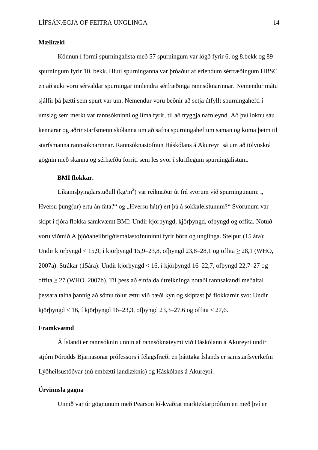#### **Mælitæki**

Könnun í formi spurningalista með 57 spurningum var lögð fyrir 6. og 8.bekk og 89 spurningum fyrir 10. bekk. Hluti spurninganna var þróaður af erlendum sérfræðingum HBSC en að auki voru sérvaldar spurningar innlendra sérfræðinga rannsóknarinnar. Nemendur mátu sjálfir þá þætti sem spurt var um. Nemendur voru beðnir að setja útfyllt spurningahefti í umslag sem merkt var rannsókninni og líma fyrir, til að tryggja nafnleynd. Að því loknu sáu kennarar og aðrir starfsmenn skólanna um að safna spurningaheftum saman og koma þeim til starfsmanna rannsóknarinnar. Rannsóknastofnun Háskólans á Akureyri sá um að tölvuskrá gögnin með skanna og sérhæfðu forriti sem les svör í skriflegum spurningalistum.

## **BMI flokkar.**

Líkamsþyngdarstuðull (kg/m<sup>2</sup>) var reiknaður út frá svörum við spurningunum: " Hversu þung(ur) ertu án fata?" og "Hversu há(r) ert þú á sokkaleistunum?" Svörunum var skipt í fjóra flokka samkvæmt BMI: Undir kjörþyngd, kjörþyngd, ofþyngd og offita. Notuð voru viðmið Alþjóðaheilbrigðismálastofnuninni fyrir börn og unglinga. Stelpur (15 ára): Undir kjörþyngd < 15,9, í kjörþyngd 15,9–23,8, ofbyngd 23,8–28,1 og offita  $\geq 28,1$  (WHO, 2007a). Strákar (15ára): Undir kjörþyngd < 16, í kjörþyngd 16–22,7, ofþyngd 22,7–27 og offita ≥ 27 (WHO. 2007b). Til þess að einfalda útreikninga notaði rannsakandi meðaltal þessara talna þannig að sömu tölur ættu við bæði kyn og skiptast þá flokkarnir svo: Undir kjörþyngd < 16, í kjörþyngd 16–23,3, ofþyngd 23,3–27,6 og offita < 27,6.

## **Framkvæmd**

Á Íslandi er rannsóknin unnin af rannsóknateymi við Háskólann á Akureyri undir stjórn Þórodds Bjarnasonar prófessors í félagsfræði en þátttaka Íslands er samstarfsverkefni Lýðheilsustöðvar (nú embætti landlæknis) og Háskólans á Akureyri.

# **Úrvinnsla gagna**

Unnið var úr gögnunum með Pearson kí-kvaðrat marktektarprófum en með því er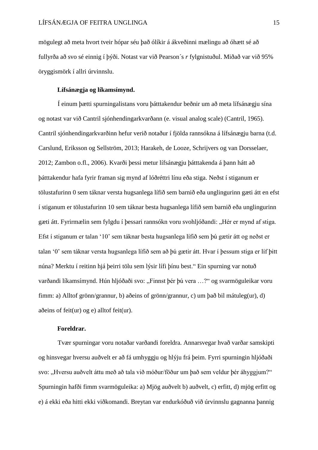mögulegt að meta hvort tveir hópar séu það ólíkir á ákveðinni mælingu að óhætt sé að fullyrða að svo sé einnig í þýði. Notast var við Pearson´s *r* fylgnistuðul. Miðað var við 95% öryggismörk í allri úrvinnslu.

## **Lífsánægja og líkamsímynd.**

Í einum þætti spurningalistans voru þátttakendur beðnir um að meta lífsánægju sína og notast var við Cantril sjónhendingarkvarðann (e. visual analog scale) (Cantril, 1965). Cantril sjónhendingarkvarðinn hefur verið notaður í fjölda rannsókna á lífsánægju barna (t.d. Carslund, Eriksson og Sellström, 2013; [Harakeh,](http://www.sciencedirect.com/science/article/pii/S0033350612001424) de Looze, Schrijvers og van Dorsselaer, 2012; Zambon o.fl., [2006\)](http://link.springer.com/article/10.1007/s11205-011-9804-y/fulltext.html#CR62). Kvarði þessi metur lífsánægju þátttakenda á þann hátt að þátttakendur hafa fyrir framan sig mynd af lóðréttri línu eða stiga. Neðst í stiganum er tölustafurinn 0 sem táknar versta hugsanlega lífið sem barnið eða unglingurinn gæti átt en efst í stiganum er tölustafurinn 10 sem táknar besta hugsanlega lífið sem barnið eða unglingurinn gæti átt. Fyrirmælin sem fylgdu í þessari rannsókn voru svohljóðandi: "Hér er mynd af stiga. Efst í stiganum er talan '10' sem táknar besta hugsanlega lífið sem þú gætir átt og neðst er talan '0' sem táknar versta hugsanlega lífið sem að þú gætir átt. Hvar í þessum stiga er líf þitt núna? Merktu í reitinn hjá þeirri tölu sem lýsir lífi þínu best." Ein spurning var notuð varðandi líkamsímynd. Hún hljóðaði svo: "Finnst þér þú vera ...?" og svarmöguleikar voru fimm: a) Alltof grönn/grannur, b) aðeins of grönn/grannur, c) um það bil mátuleg(ur), d) aðeins of feit(ur) og e) alltof feit(ur).

## **Foreldrar.**

Tvær spurningar voru notaðar varðandi foreldra. Annarsvegar hvað varðar samskipti og hinsvegar hversu auðvelt er að fá umhyggju og hlýju frá þeim. Fyrri spurningin hljóðaði svo: "Hversu auðvelt áttu með að tala við móður/föður um bað sem veldur þér áhyggjum?" Spurningin hafði fimm svarmöguleika: a) Mjög auðvelt b) auðvelt, c) erfitt, d) mjög erfitt og e) á ekki eða hitti ekki viðkomandi. Breytan var endurkóðuð við úrvinnslu gagnanna þannig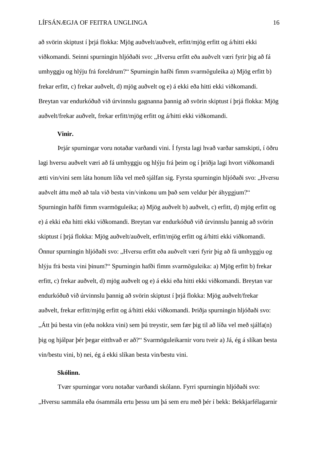að svörin skiptust í þrjá flokka: Mjög auðvelt/auðvelt, erfitt/mjög erfitt og á/hitti ekki viðkomandi. Seinni spurningin hljóðaði svo: "Hversu erfitt eða auðvelt væri fyrir þig að fá umhyggju og hlýju frá foreldrum?" Spurningin hafði fimm svarmöguleika a) Mjög erfitt b) frekar erfitt, c) frekar auðvelt, d) mjög auðvelt og e) á ekki eða hitti ekki viðkomandi. Breytan var endurkóðuð við úrvinnslu gagnanna þannig að svörin skiptust í þrjá flokka: Mjög auðvelt/frekar auðvelt, frekar erfitt/mjög erfitt og á/hitti ekki viðkomandi.

## **Vinir.**

Þrjár spurningar voru notaðar varðandi vini. Í fyrsta lagi hvað varðar samskipti, í öðru lagi hversu auðvelt væri að fá umhyggju og hlýju frá þeim og í þriðja lagi hvort viðkomandi ætti vin/vini sem láta honum líða vel með sjálfan sig. Fyrsta spurningin hljóðaði svo: "Hversu auðvelt áttu með að tala við besta vin/vinkonu um það sem veldur þér áhyggjum?" Spurningin hafði fimm svarmöguleika; a) Mjög auðvelt b) auðvelt, c) erfitt, d) mjög erfitt og e) á ekki eða hitti ekki viðkomandi. Breytan var endurkóðuð við úrvinnslu þannig að svörin skiptust í þrjá flokka: Mjög auðvelt/auðvelt, erfitt/mjög erfitt og á/hitti ekki viðkomandi. Önnur spurningin hljóðaði svo: "Hversu erfitt eða auðvelt væri fyrir þig að fá umhyggju og hlýju frá besta vini þínum?" Spurningin hafði fimm svarmöguleika: a) Mjög erfitt b) frekar erfitt, c) frekar auðvelt, d) mjög auðvelt og e) á ekki eða hitti ekki viðkomandi. Breytan var endurkóðuð við úrvinnslu þannig að svörin skiptust í þrjá flokka: Mjög auðvelt/frekar auðvelt, frekar erfitt/mjög erfitt og á/hitti ekki viðkomandi. Þriðja spurningin hljóðaði svo: "Átt þú besta vin (eða nokkra vini) sem þú treystir, sem fær þig til að líða vel með sjálfa(n) þig og hjálpar þér þegar eitthvað er að?" Svarmöguleikarnir voru tveir a) Já, ég á slíkan besta vin/bestu vini, b) nei, ég á ekki slíkan besta vin/bestu vini.

## **Skólinn.**

Tvær spurningar voru notaðar varðandi skólann. Fyrri spurningin hljóðaði svo: "Hversu sammála eða ósammála ertu þessu um þá sem eru með þér í bekk: Bekkjarfélagarnir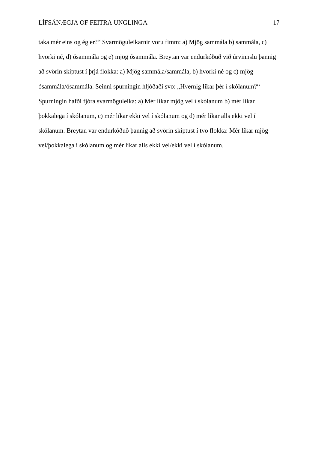taka mér eins og ég er?" Svarmöguleikarnir voru fimm: a) Mjög sammála b) sammála, c) hvorki né, d) ósammála og e) mjög ósammála. Breytan var endurkóðuð við úrvinnslu þannig að svörin skiptust í þrjá flokka: a) Mjög sammála/sammála, b) hvorki né og c) mjög ósammála/ósammála. Seinni spurningin hljóðaði svo: "Hvernig líkar þér í skólanum?" Spurningin hafði fjóra svarmöguleika: a) Mér líkar mjög vel í skólanum b) mér líkar þokkalega í skólanum, c) mér líkar ekki vel í skólanum og d) mér líkar alls ekki vel í skólanum. Breytan var endurkóðuð þannig að svörin skiptust í tvo flokka: Mér líkar mjög vel/þokkalega í skólanum og mér líkar alls ekki vel/ekki vel í skólanum.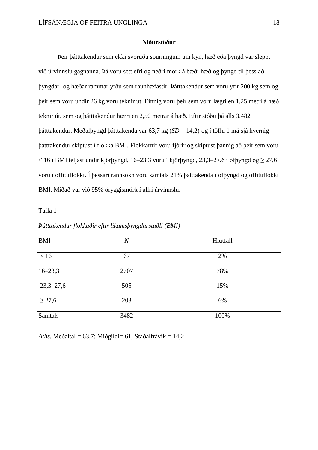#### **Niðurstöður**

Þeir þátttakendur sem ekki svöruðu spurningum um kyn, hæð eða þyngd var sleppt við úrvinnslu gagnanna. Þá voru sett efri og neðri mörk á bæði hæð og þyngd til þess að þyngdar- og hæðar rammar yrðu sem raunhæfastir. Þátttakendur sem voru yfir 200 kg sem og þeir sem voru undir 26 kg voru teknir út. Einnig voru þeir sem voru lægri en 1,25 metri á hæð teknir út, sem og þátttakendur hærri en 2,50 metrar á hæð. Eftir stóðu þá alls 3.482 þátttakendur. Meðalþyngd þátttakenda var 63,7 kg (*SD* = 14,2) og í töflu 1 má sjá hvernig þátttakendur skiptust í flokka BMI. Flokkarnir voru fjórir og skiptust þannig að þeir sem voru  $<$  16 í BMI teljast undir kjörþyngd, 16–23,3 voru í kjörþyngd, 23,3–27,6 í ofþyngd og  $\geq$  27,6 voru í offituflokki. Í þessari rannsókn voru samtals 21% þátttakenda í ofþyngd og offituflokki BMI. Miðað var við 95% öryggismörk í allri úrvinnslu.

Tafla 1

| <b>BMI</b>    | $\boldsymbol{N}$ | Hlutfall |
|---------------|------------------|----------|
| < 16          | 67               | 2%       |
| $16 - 23,3$   | 2707             | 78%      |
| $23,3 - 27,6$ | 505              | 15%      |
| $\geq$ 27,6   | 203              | 6%       |
| Samtals       | 3482             | 100%     |

*Þátttakendur flokkaðir eftir líkamsþyngdarstuðli (BMI)*

*Aths.* Meðaltal = 63,7; Miðgildi= 61; Staðalfrávik = 14,2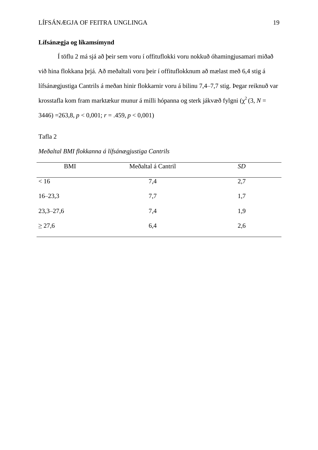## **Lífsánægja og líkamsímynd**

Í töflu 2 má sjá að þeir sem voru í offituflokki voru nokkuð óhamingjusamari miðað við hina flokkana þrjá. Að meðaltali voru þeir í offituflokknum að mælast með 6,4 stig á lífsánægjustiga Cantrils á meðan hinir flokkarnir voru á bilinu 7,4–7,7 stig. Þegar reiknuð var krosstafla kom fram marktækur munur á milli hópanna og sterk jákvæð fylgni ( $\chi^2$  (3,  $N$  = 3446) =263,8, *p* < 0,001; *r* = .459, *p* < 0,001)

## Tafla 2

*Meðaltal BMI flokkanna á lífsánægjustiga Cantrils*

| <b>BMI</b>    | Meðaltal á Cantril | <b>SD</b> |
|---------------|--------------------|-----------|
| < 16          | 7,4                | 2,7       |
| $16 - 23,3$   | 7,7                | 1,7       |
| $23,3 - 27,6$ | 7,4                | 1,9       |
| $\geq$ 27,6   | 6,4                | 2,6       |
|               |                    |           |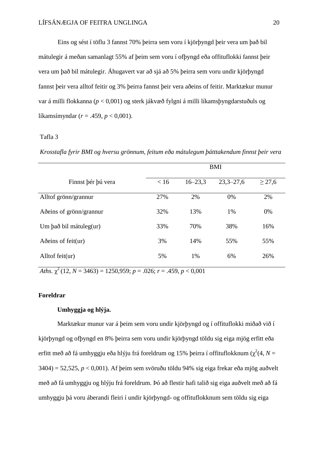Eins og sést í töflu 3 fannst 70% þeirra sem voru í kjörþyngd þeir vera um það bil mátulegir á meðan samanlagt 55% af þeim sem voru í ofþyngd eða offituflokki fannst þeir vera um það bil mátulegir. Áhugavert var að sjá að 5% þeirra sem voru undir kjörþyngd fannst þeir vera alltof feitir og 3% þeirra fannst þeir vera aðeins of feitir. Marktækur munur var á milli flokkanna (*p* < 0,001) og sterk jákvæð fylgni á milli líkamsþyngdarstuðuls og líkamsímyndar (*r* = .459, *p* < 0,001).

#### Tafla 3

*Krosstafla fyrir BMI og hversu grönnum, feitum eða mátulegum þátttakendum finnst þeir vera*

|                              | <b>BMI</b> |             |               |             |  |  |
|------------------------------|------------|-------------|---------------|-------------|--|--|
| Finnst þér þú vera           | < 16       | $16 - 23,3$ | $23,3 - 27,6$ | $\geq$ 27,6 |  |  |
| Alltof grönn/grannur         | 27%        | 2%          | 0%            | 2%          |  |  |
| Aðeins of grönn/grannur      | 32%        | 13%         | 1%            | 0%          |  |  |
| Um það bil mátuleg(ur)       | 33%        | 70%         | 38%           | 16%         |  |  |
| Adeins of feit $(\text{ur})$ | 3%         | 14%         | 55%           | 55%         |  |  |
| Alltof feit(ur)              | 5%         | 1%          | 6%            | 26%         |  |  |

*Aths.*  $\chi^2$  (12, *N* = 3463) = 1250,959; *p* = .026; *r* = .459, *p* < 0,001

## **Foreldrar**

## **Umhyggja og hlýja.**

Marktækur munur var á þeim sem voru undir kjörþyngd og í offituflokki miðað við í kjörþyngd og ofþyngd en 8% þeirra sem voru undir kjörþyngd töldu sig eiga mjög erfitt eða erfitt með að fá umhyggju eða hlýju frá foreldrum og 15% þeirra í offituflokknum ( $\chi^2(4, N=$ 3404) = 52,525, *p* < 0,001). Af þeim sem svöruðu töldu 94% sig eiga frekar eða mjög auðvelt með að fá umhyggju og hlýju frá foreldrum. Þó að flestir hafi talið sig eiga auðvelt með að fá umhyggju þá voru áberandi fleiri í undir kjörþyngd- og offituflokknum sem töldu sig eiga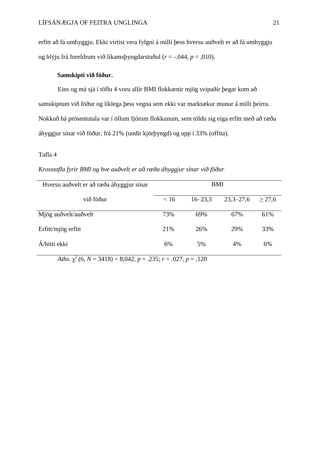erfitt að fá umhyggju. Ekki virtist vera fylgni á milli þess hversu auðvelt er að fá umhyggju og hlýju frá foreldrum við líkamsþyngdarstuðul (*r* = -.044, *p* = ,010).

# **Samskipti við föður.**

Eins og má sjá í töflu 4 voru allir BMI flokkarnir mjög svipaðir þegar kom að samskiptum við föður og líklega þess vegna sem ekki var marktækur munur á milli þeirra. Nokkuð há prósentutala var í öllum fjórum flokkunum, sem töldu sig eiga erfitt með að ræða áhyggjur sínar við föður, frá 21% (undir kjörþyngd) og upp í 33% (offita).

## Tafla 4

### *Krosstafla fyrir BMI og hve auðvelt er að ræða áhyggjur sínar við föður*

| Hversu auðvelt er að ræða áhyggjur sínar | BMI  |             |               |        |
|------------------------------------------|------|-------------|---------------|--------|
| við föður                                | < 16 | $16 - 23.3$ | $23,3 - 27,6$ | > 27.6 |
| Mjög auðvelt/auðvelt                     | 73%  | 69%         | 67%           | 61%    |
| Erfitt/mjög erfitt                       | 21%  | 26%         | 29%           | 33%    |
| Á/hitti ekki                             | 6%   | 5%          | 4%            | 6%     |

*Aths.*  $\chi^2$  (6, *N* = 3418) = 8,042, *p* = .235; *r* = .027, *p* = .120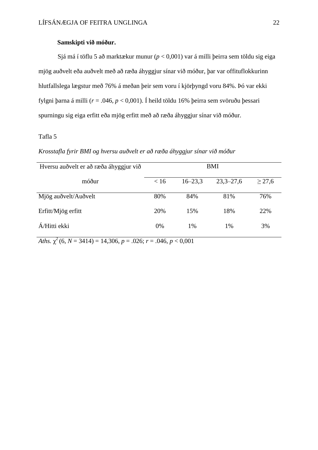#### **Samskipti við móður.**

Sjá má í töflu 5 að marktækur munur (*p* < 0,001) var á milli þeirra sem töldu sig eiga mjög auðvelt eða auðvelt með að ræða áhyggjur sínar við móður, þar var offituflokkurinn hlutfallslega lægstur með 76% á meðan þeir sem voru í kjörþyngd voru 84%. Þó var ekki fylgni þarna á milli (*r* = .046, *p* < 0,001). Í heild töldu 16% þeirra sem svöruðu þessari spurningu sig eiga erfitt eða mjög erfitt með að ræða áhyggjur sínar við móður.

## Tafla 5

*Krosstafla fyrir BMI og hversu auðvelt er að ræða áhyggjur sínar við móður*

| Hversu auðvelt er að ræða áhyggjur við | BMI  |             |               |             |
|----------------------------------------|------|-------------|---------------|-------------|
| móður                                  | < 16 | $16 - 23.3$ | $23,3 - 27,6$ | $\geq$ 27,6 |
| Mjög auðvelt/Auðvelt                   | 80%  | 84%         | 81%           | 76%         |
| Erfitt/Mjög erfitt                     | 20%  | 15%         | 18%           | 22%         |
| Á/Hitti ekki                           | 0%   | 1%          | 1%            | 3%          |

*Aths.*  $\chi^2$  (6, *N* = 3414) = 14,306, *p* = .026; *r* = .046, *p* < 0,001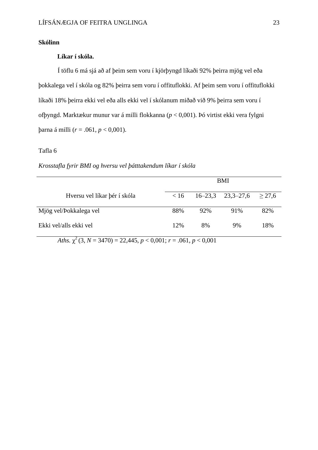#### **Skólinn**

# **Líkar í skóla.**

Í töflu 6 má sjá að af þeim sem voru í kjörþyngd líkaði 92% þeirra mjög vel eða þokkalega vel í skóla og 82% þeirra sem voru í offituflokki. Af þeim sem voru í offituflokki líkaði 18% þeirra ekki vel eða alls ekki vel í skólanum miðað við 9% þeirra sem voru í ofþyngd. Marktækur munur var á milli flokkanna (*p* < 0,001). Þó virtist ekki vera fylgni þarna á milli (*r* = .061, *p* < 0,001).

## Tafla 6

#### *Krosstafla fyrir BMI og hversu vel þátttakendum líkar í skóla*

|                              | BMI  |     |                                   |     |
|------------------------------|------|-----|-----------------------------------|-----|
| Hversu vel líkar þér í skóla | < 16 |     | $16-23,3$ $23,3-27,6$ $\geq 27,6$ |     |
| Mjög vel/Þokkalega vel       | 88%  | 92% | 91%                               | 82% |
| Ekki vel/alls ekki vel       | 12%  | 8%  | 9%                                | 18% |

*Aths.*  $\chi^2$  (3, *N* = 3470) = 22,445, *p* < 0,001; *r* = .061, *p* < 0,001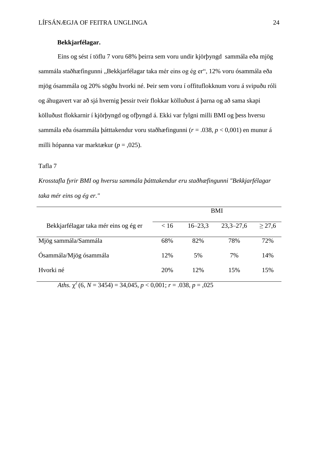## **Bekkjarfélagar.**

Eins og sést í töflu 7 voru 68% þeirra sem voru undir kjörþyngd sammála eða mjög sammála staðhæfingunni "Bekkjarfélagar taka mér eins og ég er", 12% voru ósammála eða mjög ósammála og 20% sögðu hvorki né. Þeir sem voru í offituflokknum voru á svipuðu róli og áhugavert var að sjá hvernig þessir tveir flokkar kölluðust á þarna og að sama skapi kölluðust flokkarnir í kjörþyngd og ofþyngd á. Ekki var fylgni milli BMI og þess hversu sammála eða ósammála þátttakendur voru staðhæfingunni (*r* = .038, *p* < 0,001) en munur á milli hópanna var marktækur (*p* = ,025).

#### Tafla 7

*Krosstafla fyrir BMI og hversu sammála þátttakendur eru staðhæfingunni "Bekkjarfélagar taka mér eins og ég er."*

|                                       | <b>BMI</b> |             |               |             |  |  |
|---------------------------------------|------------|-------------|---------------|-------------|--|--|
| Bekkjarfélagar taka mér eins og ég er | < 16       | $16 - 23.3$ | $23,3 - 27,6$ | $\geq$ 27,6 |  |  |
| Mjög sammála/Sammála                  | 68%        | 82%         | 78%           | 72%         |  |  |
| Ósammála/Mjög ósammála                | 12%        | 5%          | 7%            | 14%         |  |  |
| Hvorki né                             | 20%        | 12%         | 15%           | 15%         |  |  |

*Aths.*  $\chi^2$  (6, *N* = 3454) = 34,045, *p* < 0,001; *r* = .038, *p* = ,025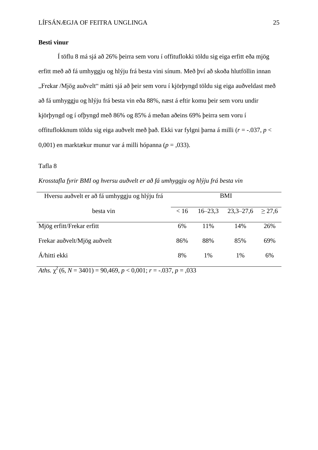#### **Besti vinur**

Í töflu 8 má sjá að 26% þeirra sem voru í offituflokki töldu sig eiga erfitt eða mjög erfitt með að fá umhyggju og hlýju frá besta vini sínum. Með því að skoða hlutföllin innan "Frekar /Mjög auðvelt" mátti sjá að þeir sem voru í kjörþyngd töldu sig eiga auðveldast með að fá umhyggju og hlýju frá besta vin eða 88%, næst á eftir komu þeir sem voru undir kjörþyngd og í ofþyngd með 86% og 85% á meðan aðeins 69% þeirra sem voru í offituflokknum töldu sig eiga auðvelt með það. Ekki var fylgni þarna á milli (*r* = -.037, *p* < 0,001) en marktækur munur var á milli hópanna (*p* = ,033).

#### Tafla 8

*Krosstafla fyrir BMI og hversu auðvelt er að fá umhyggju og hlýju frá besta vin*

| Hversu auðvelt er að fá umhyggju og hlýju frá | <b>BMI</b> |             |               |        |
|-----------------------------------------------|------------|-------------|---------------|--------|
| besta vin                                     | < 16       | $16 - 23.3$ | $23,3 - 27,6$ | > 27.6 |
| Mjög erfitt/Frekar erfitt                     | 6%         | 11%         | 14%           | 26%    |
| Frekar auðvelt/Mjög auðvelt                   | 86%        | 88%         | 85%           | 69%    |
| Á/hitti ekki                                  | 8%         | 1%          | 1%            | 6%     |

*Aths.*  $\chi^2$  (6, *N* = 3401) = 90,469, *p* < 0,001; *r* = -.037, *p* = ,033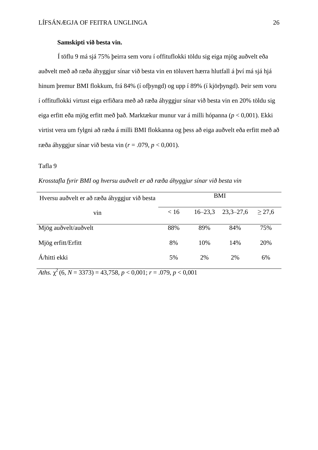#### **Samskipti við besta vin.**

Í töflu 9 má sjá 75% þeirra sem voru í offituflokki töldu sig eiga mjög auðvelt eða auðvelt með að ræða áhyggjur sínar við besta vin en töluvert hærra hlutfall á því má sjá hjá hinum þremur BMI flokkum, frá 84% (í ofþyngd) og upp í 89% (í kjörþyngd). Þeir sem voru í offituflokki virtust eiga erfiðara með að ræða áhyggjur sínar við besta vin en 20% töldu sig eiga erfitt eða mjög erfitt með það. Marktækur munur var á milli hópanna (*p* < 0,001). Ekki virtist vera um fylgni að ræða á milli BMI flokkanna og þess að eiga auðvelt eða erfitt með að ræða áhyggjur sínar við besta vin (*r* = .079, *p* < 0,001).

#### Tafla 9

| Hversu auðvelt er að ræða áhyggjur við besta | <b>BMI</b> |     |                                   |     |
|----------------------------------------------|------------|-----|-----------------------------------|-----|
| V1n                                          | < 16       |     | $16-23,3$ $23,3-27,6$ $\geq 27,6$ |     |
| Mjög auðvelt/auðvelt                         | 88%        | 89% | 84%                               | 75% |
| Mjög erfitt/Erfitt                           | 8%         | 10% | 14%                               | 20% |

Á/hitti ekki 5% 2% 2% 6%

*Krosstafla fyrir BMI og hversu auðvelt er að ræða áhyggjur sínar við besta vin*

*Aths.*  $\chi^2$  (6, *N* = 3373) = 43,758, *p* < 0,001; *r* = .079, *p* < 0,001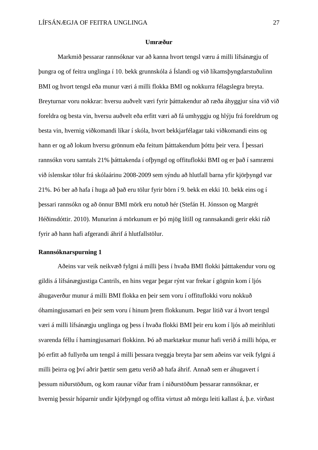#### **Umræður**

Markmið þessarar rannsóknar var að kanna hvort tengsl væru á milli lífsánægju of þungra og of feitra unglinga í 10. bekk grunnskóla á Íslandi og við líkamsþyngdarstuðulinn BMI og hvort tengsl eða munur væri á milli flokka BMI og nokkurra félagslegra breyta. Breyturnar voru nokkrar: hversu auðvelt væri fyrir þátttakendur að ræða áhyggjur sína við við foreldra og besta vin, hversu auðvelt eða erfitt væri að fá umhyggju og hlýju frá foreldrum og besta vin, hvernig viðkomandi líkar í skóla, hvort bekkjarfélagar taki viðkomandi eins og hann er og að lokum hversu grönnum eða feitum þátttakendum þóttu þeir vera. Í þessari rannsókn voru samtals 21% þátttakenda í ofþyngd og offituflokki BMI og er það í samræmi við íslenskar tölur frá skólaárinu 2008-2009 sem sýndu að hlutfall barna yfir kjörþyngd var 21%. Þó ber að hafa í huga að það eru tölur fyrir börn í 9. bekk en ekki 10. bekk eins og í þessari rannsókn og að önnur BMI mörk eru notuð hér (Stefán H. Jónsson og Margrét Héðinsdóttir. 2010). Munurinn á mörkunum er þó mjög lítill og rannsakandi gerir ekki ráð fyrir að hann hafi afgerandi áhrif á hlutfallstölur.

#### **Rannsóknarspurning 1**

Aðeins var veik neikvæð fylgni á milli þess í hvaða BMI flokki þátttakendur voru og gildis á lífsánægjustiga Cantrils, en hins vegar þegar rýnt var frekar í gögnin kom í ljós áhugaverður munur á milli BMI flokka en þeir sem voru í offituflokki voru nokkuð óhamingjusamari en þeir sem voru í hinum þrem flokkunum. Þegar litið var á hvort tengsl væri á milli lífsánægju unglinga og þess í hvaða flokki BMI þeir eru kom í ljós að meirihluti svarenda féllu í hamingjusamari flokkinn. Þó að marktækur munur hafi verið á milli hópa, er þó erfitt að fullyrða um tengsl á milli þessara tveggja breyta þar sem aðeins var veik fylgni á milli þeirra og því aðrir þættir sem gætu verið að hafa áhrif. Annað sem er áhugavert í þessum niðurstöðum, og kom raunar víðar fram í niðurstöðum þessarar rannsóknar, er hvernig þessir hóparnir undir kjörþyngd og offita virtust að mörgu leiti kallast á, þ.e. virðast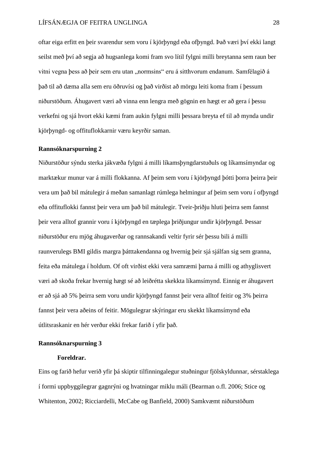oftar eiga erfitt en þeir svarendur sem voru í kjörþyngd eða ofþyngd. Það væri því ekki langt seilst með því að segja að hugsanlega komi fram svo lítil fylgni milli breytanna sem raun ber vitni vegna þess að þeir sem eru utan "normsins" eru á sitthvorum endanum. Samfélagið á það til að dæma alla sem eru öðruvísi og það virðist að mörgu leiti koma fram í þessum niðurstöðum. Áhugavert væri að vinna enn lengra með gögnin en hægt er að gera í þessu verkefni og sjá hvort ekki kæmi fram aukin fylgni milli þessara breyta ef til að mynda undir kjörþyngd- og offituflokkarnir væru keyrðir saman.

### **Rannsóknarspurning 2**

Niðurstöður sýndu sterka jákvæða fylgni á milli líkamsþyngdarstuðuls og líkamsímyndar og marktækur munur var á milli flokkanna. Af þeim sem voru í kjörþyngd þótti þorra þeirra þeir vera um það bil mátulegir á meðan samanlagt rúmlega helmingur af þeim sem voru í ofþyngd eða offituflokki fannst þeir vera um það bil mátulegir. Tveir-þriðju hluti þeirra sem fannst þeir vera alltof grannir voru í kjörþyngd en tæplega þriðjungur undir kjörþyngd. Þessar niðurstöður eru mjög áhugaverðar og rannsakandi veltir fyrir sér þessu bili á milli raunverulegs BMI gildis margra þátttakendanna og hvernig þeir sjá sjálfan sig sem granna, feita eða mátulega í holdum. Of oft virðist ekki vera samræmi þarna á milli og athyglisvert væri að skoða frekar hvernig hægt sé að leiðrétta skekkta líkamsímynd. Einnig er áhugavert er að sjá að 5% þeirra sem voru undir kjörþyngd fannst þeir vera alltof feitir og 3% þeirra fannst þeir vera aðeins of feitir. Mögulegrar skýringar eru skekkt líkamsímynd eða útlitsraskanir en hér verður ekki frekar farið í yfir það.

## **Rannsóknarspurning 3**

#### **Foreldrar.**

Eins og farið hefur verið yfir þá skiptir tilfinningalegur stuðningur fjölskyldunnar, sérstaklega í formi uppbyggilegrar gagnrýni og hvatningar miklu máli (Bearman o.fl. 2006; Stice og Whitenton, 2002; Ricciardelli, McCabe og Banfield, 2000) Samkvæmt niðurstöðum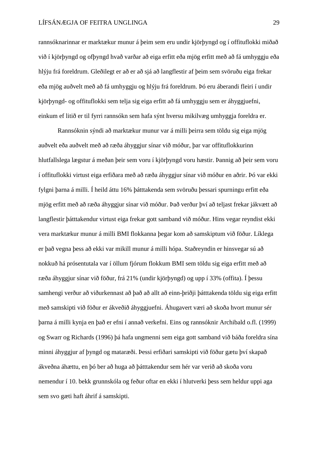rannsóknarinnar er marktækur munur á þeim sem eru undir kjörþyngd og í offituflokki miðað við í kjörþyngd og ofþyngd hvað varðar að eiga erfitt eða mjög erfitt með að fá umhyggju eða hlýju frá foreldrum. Gleðilegt er að er að sjá að langflestir af þeim sem svöruðu eiga frekar eða mjög auðvelt með að fá umhyggju og hlýju frá foreldrum. Þó eru áberandi fleiri í undir kjörþyngd- og offituflokki sem telja sig eiga erfitt að fá umhyggju sem er áhyggjuefni, einkum ef litið er til fyrri rannsókn sem hafa sýnt hversu mikilvæg umhyggja foreldra er.

Rannsóknin sýndi að marktækur munur var á milli þeirra sem töldu sig eiga mjög auðvelt eða auðvelt með að ræða áhyggjur sínar við móður, þar var offituflokkurinn hlutfallslega lægstur á meðan þeir sem voru í kjörþyngd voru hæstir. Þannig að þeir sem voru í offituflokki virtust eiga erfiðara með að ræða áhyggjur sínar við móður en aðrir. Þó var ekki fylgni þarna á milli. Í heild áttu 16% þátttakenda sem svöruðu þessari spurningu erfitt eða mjög erfitt með að ræða áhyggjur sínar við móður. Það verður því að teljast frekar jákvætt að langflestir þátttakendur virtust eiga frekar gott samband við móður. Hins vegar reyndist ekki vera marktækur munur á milli BMI flokkanna þegar kom að samskiptum við föður. Líklega er það vegna þess að ekki var mikill munur á milli hópa. Staðreyndin er hinsvegar sú að nokkuð há prósentutala var í öllum fjórum flokkum BMI sem töldu sig eiga erfitt með að ræða áhyggjur sínar við föður, frá 21% (undir kjörþyngd) og upp í 33% (offita). Í þessu samhengi verður að viðurkennast að það að allt að einn-þriðji þátttakenda töldu sig eiga erfitt með samskipti við föður er ákveðið áhyggjuefni. Áhugavert væri að skoða hvort munur sér þarna á milli kynja en það er efni í annað verkefni. Eins og rannsóknir Archibald o.fl. (1999) og Swarr og Richards (1996) þá hafa ungmenni sem eiga gott samband við báða foreldra sína minni áhyggjur af þyngd og mataræði. Þessi erfiðari samskipti við föður gætu því skapað ákveðna áhættu, en þó ber að huga að þátttakendur sem hér var verið að skoða voru nemendur í 10. bekk grunnskóla og feður oftar en ekki í hlutverki þess sem heldur uppi aga sem svo gæti haft áhrif á samskipti.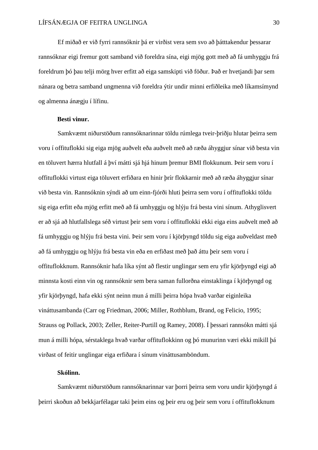Ef miðað er við fyrri rannsóknir þá er virðist vera sem svo að þátttakendur þessarar rannsóknar eigi fremur gott samband við foreldra sína, eigi mjög gott með að fá umhyggju frá foreldrum þó þau telji mörg hver erfitt að eiga samskipti við föður. Það er hvetjandi þar sem nánara og betra samband ungmenna við foreldra ýtir undir minni erfiðleika með líkamsímynd og almenna ánægju í lífinu.

#### **Besti vinur.**

Samkvæmt niðurstöðum rannsóknarinnar töldu rúmlega tveir-þriðju hlutar þeirra sem voru í offituflokki sig eiga mjög auðvelt eða auðvelt með að ræða áhyggjur sínar við besta vin en töluvert hærra hlutfall á því mátti sjá hjá hinum þremur BMI flokkunum. Þeir sem voru í offituflokki virtust eiga töluvert erfiðara en hinir þrír flokkarnir með að ræða áhyggjur sínar við besta vin. Rannsóknin sýndi að um einn-fjórði hluti þeirra sem voru í offituflokki töldu sig eiga erfitt eða mjög erfitt með að fá umhyggju og hlýju frá besta vini sínum. Athyglisvert er að sjá að hlutfallslega séð virtust þeir sem voru í offituflokki ekki eiga eins auðvelt með að fá umhyggju og hlýju frá besta vini. Þeir sem voru í kjörþyngd töldu sig eiga auðveldast með að fá umhyggju og hlýju frá besta vin eða en erfiðast með það áttu þeir sem voru í offituflokknum. Rannsóknir hafa líka sýnt að flestir unglingar sem eru yfir kjörþyngd eigi að minnsta kosti einn vin og rannsóknir sem bera saman fullorðna einstaklinga í kjörþyngd og yfir kjörþyngd, hafa ekki sýnt neinn mun á milli þeirra hópa hvað varðar eiginleika vináttusambanda (Carr og Friedman, 2006; Miller, Rothblum, Brand, og Felicio, 1995; Strauss og Pollack, 2003; Zeller, Reiter-Purtill og Ramey, 2008). Í þessari rannsókn mátti sjá mun á milli hópa, sérstaklega hvað varðar offituflokkinn og þó munurinn væri ekki mikill þá virðast of feitir unglingar eiga erfiðara í sínum vináttusamböndum.

## **Skólinn.**

Samkvæmt niðurstöðum rannsóknarinnar var þorri þeirra sem voru undir kjörþyngd á þeirri skoðun að bekkjarfélagar taki þeim eins og þeir eru og þeir sem voru í offituflokknum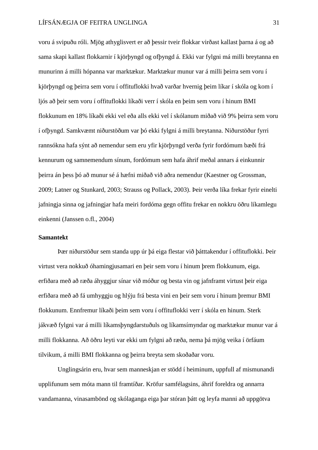voru á svipuðu róli. Mjög athyglisvert er að þessir tveir flokkar virðast kallast þarna á og að sama skapi kallast flokkarnir í kjörþyngd og ofþyngd á. Ekki var fylgni má milli breytanna en munurinn á milli hópanna var marktækur. Marktækur munur var á milli þeirra sem voru í kjörþyngd og þeirra sem voru í offituflokki hvað varðar hvernig þeim líkar í skóla og kom í ljós að þeir sem voru í offituflokki líkaði verr í skóla en þeim sem voru í hinum BMI flokkunum en 18% líkaði ekki vel eða alls ekki vel í skólanum miðað við 9% þeirra sem voru í ofþyngd. Samkvæmt niðurstöðum var þó ekki fylgni á milli breytanna. Niðurstöður fyrri rannsókna hafa sýnt að nemendur sem eru yfir kjörþyngd verða fyrir fordómum bæði frá kennurum og samnemendum sínum, fordómum sem hafa áhrif meðal annars á einkunnir þeirra án þess þó að munur sé á hæfni miðað við aðra nemendur (Kaestner og Grossman, 2009; Latner og Stunkard, 2003; Strauss og Pollack, 2003). Þeir verða líka frekar fyrir einelti jafningja sinna og jafningjar hafa meiri fordóma gegn offitu frekar en nokkru öðru líkamlegu einkenni (Janssen o.fl., 2004)

## **Samantekt**

Þær niðurstöður sem standa upp úr þá eiga flestar við þátttakendur í offituflokki. Þeir virtust vera nokkuð óhamingjusamari en þeir sem voru í hinum þrem flokkunum, eiga. erfiðara með að ræða áhyggjur sínar við móður og besta vin og jafnframt virtust þeir eiga erfiðara með að fá umhyggju og hlýju frá besta vini en þeir sem voru í hinum þremur BMI flokkunum. Ennfremur líkaði þeim sem voru í offituflokki verr í skóla en hinum. Sterk jákvæð fylgni var á milli líkamsþyngdarstuðuls og líkamsímyndar og marktækur munur var á milli flokkanna. Að öðru leyti var ekki um fylgni að ræða, nema þá mjög veika í örfáum tilvikum, á milli BMI flokkanna og þeirra breyta sem skoðaðar voru.

Unglingsárin eru, hvar sem manneskjan er stödd í heiminum, uppfull af mismunandi upplifunum sem móta mann til framtíðar. Kröfur samfélagsins, áhrif foreldra og annarra vandamanna, vinasambönd og skólaganga eiga þar stóran þátt og leyfa manni að uppgötva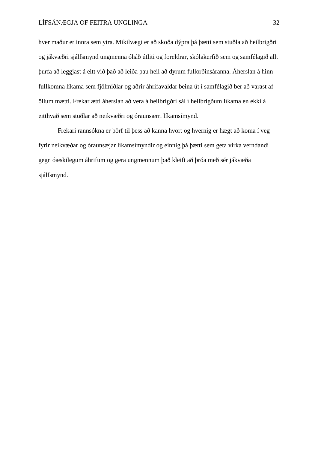hver maður er innra sem ytra. Mikilvægt er að skoða dýpra þá þætti sem stuðla að heilbrigðri og jákvæðri sjálfsmynd ungmenna óháð útliti og foreldrar, skólakerfið sem og samfélagið allt þurfa að leggjast á eitt við það að leiða þau heil að dyrum fullorðinsáranna. Áherslan á hinn fullkomna líkama sem fjölmiðlar og aðrir áhrifavaldar beina út í samfélagið ber að varast af öllum mætti. Frekar ætti áherslan að vera á heilbrigðri sál í heilbrigðum líkama en ekki á eitthvað sem stuðlar að neikvæðri og óraunsærri líkamsímynd.

Frekari rannsókna er þörf til þess að kanna hvort og hvernig er hægt að koma í veg fyrir neikvæðar og óraunsæjar líkamsímyndir og einnig þá þætti sem geta virka verndandi gegn óæskilegum áhrifum og gera ungmennum það kleift að þróa með sér jákvæða sjálfsmynd.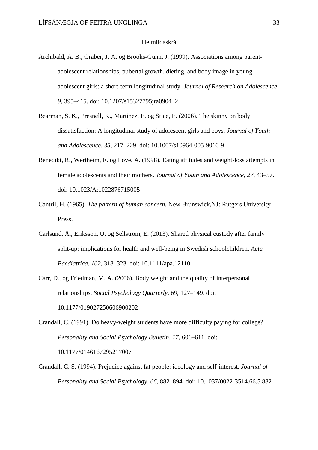#### Heimildaskrá

- Archibald, A. B., Graber, J. A. og Brooks-Gunn, J. (1999). Associations among parentadolescent relationships, pubertal growth, dieting, and body image in young adolescent girls: a short-term longitudinal study. *Journal of Research on Adolescence 9*, 395–415. doi: 10.1207/s15327795jra0904\_2
- Bearman, S. K., Presnell, K., Martinez, E. og Stice, E. (2006). The skinny on body dissatisfaction: A longitudinal study of adolescent girls and boys. *Journal of Youth and Adolescence, 35,* 217–229. doi: 10.1007/s10964-005-9010-9
- Benedikt, R., Wertheim, E. og Love, A. (1998). Eating attitudes and weight-loss attempts in female adolescents and their mothers. *Journal of Youth and Adolescence*, *27,* 43–57. doi: 10.1023/A:1022876715005
- Cantril, H. (1965). *The pattern of human concern.* New Brunswick,NJ: Rutgers University Press.
- Carlsund, Å., Eriksson, U. og Sellström, E. (2013). Shared physical custody after family split-up: implications for health and well-being in Swedish schoolchildren. *Acta Paediatrica, 102*, 318–323. doi: 10.1111/apa.12110
- Carr, D., og Friedman, M. A. (2006). Body weight and the quality of interpersonal relationships. *Social Psychology Quarterly, 69*, 127–149. doi: 10.1177/019027250606900202
- Crandall, C. (1991). Do heavy-weight students have more difficulty paying for college? *Personality and Social Psychology Bulletin, 17*, 606–611. doi:

10.1177/0146167295217007

Crandall, C. S. (1994). Prejudice against fat people: ideology and self-interest. *Journal of Personality and Social Psychology, 66*, 882–894. doi: 10.1037/0022-3514.66.5.882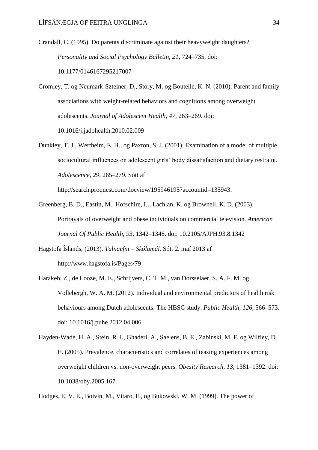- Crandall, C. (1995). Do parents discriminate against their heavyweight daughters? *Personality and Social Psychology Bulletin, 21,* 724–735. doi: 10.1177/0146167295217007
- Cromley, T. og Neumark-Szteiner, D., Story, M. og Boutelle, K. N. (2010). Parent and family associations with weight-related behaviors and cognitions among overweight adolescents. *Journal of Adolescent Health, 47*, 263–269. doi: 10.1016/j.jadohealth.2010.02.009
- Dunkley, T. J., Wertheim, E. H., og Paxton, S. J. (2001). Examination of a model of multiple sociocultural influences on adolescent girls' body dissatisfaction and dietary restraint. *Adolescence, 29*, 265–279. Sótt af

http://search.proquest.com/docview/195946195?accountid=135943.

- Greenberg, B. D., Eastin, M., Hofschire, L., Lachlan, K. og Brownell, K. D. (2003). Portrayals of overweight and obese individuals on commercial television. *American Journal Of Public Health, 93*, 1342–1348. doi: 10.2105/AJPH.93.8.1342
- Hagstofa Íslands, (2013). *Talnaefni – Skólamál.* Sótt 2. maí 2013 af http://www.hagstofa.is/Pages/79
- [Harakeh,](http://www.sciencedirect.com/science/article/pii/S0033350612001424) Z., [de Looze,](http://www.sciencedirect.com/science/article/pii/S0033350612001424) M. E., [Schrijvers,](http://www.sciencedirect.com/science/article/pii/S0033350612001424) C. T. M., [van Dorsselaer,](http://www.sciencedirect.com/science/article/pii/S0033350612001424) S. A. F. M. og Vollebergh, W. A. M. (2012). Individual and environmental predictors of health risk behaviours among Dutch adolescents: The HBSC study. *Public Health, 126,* 566–573. doi: 10.1016/j.puhe.2012.04.006
- Hayden-Wade, H. A., Stein, R. I., Ghaderi, A., Saelens, B. E., Zabinski, M. F. og Wilfley, D. E. (2005). Prevalence, characteristics and correlates of teasing experiences among overweight children vs. non-overweight peers. *Obesity Research*, *13,* 1381–1392. doi: 10.1038/oby.2005.167

Hodges, E. V. E., Boivin, M., Vitaro, F., og Bukowski, W. M. (1999). The power of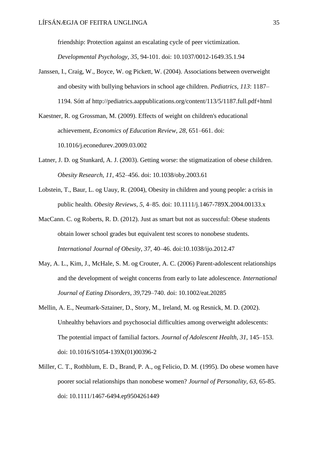friendship: Protection against an escalating cycle of peer victimization.

*Developmental Psychology, 35,* 94-101. doi: 10.1037/0012-1649.35.1.94

Janssen, I., Craig, W., Boyce, W. og Pickett, W. (2004). Associations between overweight and obesity with bullying behaviors in school age children. *Pediatrics, 113*: 1187– 1194. Sótt af http://pediatrics.aappublications.org/content/113/5/1187.full.pdf+html

Kaestner, R. og Grossman, M. (2009). Effects of weight on children's educational achievement, *Economics of Education Review, 28,* 651–661. doi: 10.1016/j.econedurev.2009.03.002

- Latner, J. D. og Stunkard, A. J. (2003). Getting worse: the stigmatization of obese children. *Obesity Research, 11*, 452–456. doi: 10.1038/oby.2003.61
- Lobstein, T., Baur, L. og Uauy, R. (2004), Obesity in children and young people: a crisis in public health. *Obesity Reviews, 5,* 4–85. doi: 10.1111/j.1467-789X.2004.00133.x
- MacCann. C. og Roberts, R. D. (2012). Just as smart but not as successful: Obese students obtain lower school grades but equivalent test scores to nonobese students. *International Journal of Obesity, 37*, 40–46. doi:10.1038/ijo.2012.47
- May, A. L., Kim, J., McHale, S. M. og Crouter, A. C. (2006) Parent-adolescent relationships and the development of weight concerns from early to late adolescence. *International Journal of Eating Disorders, 39,*729–740. doi: 10.1002/eat.20285
- Mellin, A. E., Neumark-Sztainer, D., Story, M., Ireland, M. og Resnick, M. D. (2002). Unhealthy behaviors and psychosocial difficulties among overweight adolescents: The potential impact of familial factors. *Journal of Adolescent Health, 31,* 145–153. doi: 10.1016/S1054-139X(01)00396-2
- Miller, C. T., Rothblum, E. D., Brand, P. A., og Felicio, D. M. (1995). Do obese women have poorer social relationships than nonobese women? *Journal of Personality, 63,* 65-85. doi: 10.1111/1467-6494.ep9504261449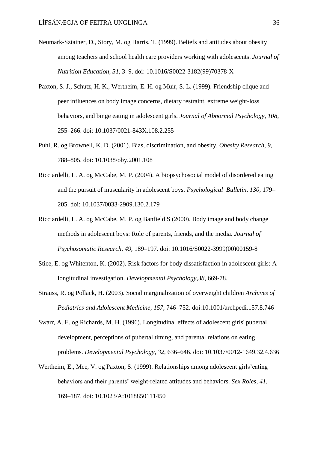- Neumark-Sztainer, D., Story, M. og Harris, T. (1999). Beliefs and attitudes about obesity among teachers and school health care providers working with adolescents. *Journal of Nutrition Education, 31,* 3–9. doi: 10.1016/S0022-3182(99)70378-X
- Paxton, S. J., Schutz, H. K., Wertheim, E. H. og Muir, S. L. (1999). Friendship clique and peer influences on body image concerns, dietary restraint, extreme weight-loss behaviors, and binge eating in adolescent girls*. Journal of Abnormal Psychology, 108,*  255–266. doi: 10.1037/0021-843X.108.2.255
- Puhl, R. og Brownell, K. D. (2001). Bias, discrimination, and obesity. *Obesity Research, 9*, 788–805. doi: 10.1038/oby.2001.108
- Ricciardelli, L. A. og McCabe, M. P. (2004). A biopsychosocial model of disordered eating and the pursuit of muscularity in adolescent boys. *Psychological Bulletin, 130,* 179– 205. doi: 10.1037/0033-2909.130.2.179
- Ricciardelli, L. A. og McCabe, M. P. og Banfield S (2000). Body image and body change methods in adolescent boys: Role of parents, friends, and the media. *Journal of Psychosomatic Research, 49,* 189–197. doi: 10.1016/S0022-3999(00)00159-8
- Stice, E. og Whitenton, K. (2002). Risk factors for body dissatisfaction in adolescent girls: A longitudinal investigation. *Developmental Psychology,38*, 669-78.
- Strauss, R. og Pollack, H. (2003). Social marginalization of overweight children *Archives of Pediatrics and Adolescent Medicine, 157,* 746–752. doi:10.1001/archpedi.157.8.746
- Swarr, A. E. og Richards, M. H. (1996). Longitudinal effects of adolescent girls' pubertal development, perceptions of pubertal timing, and parental relations on eating problems. *Developmental Psychology, 32,* 636–646. doi: 10.1037/0012-1649.32.4.636
- Wertheim, E., Mee, V. og Paxton, S. (1999). Relationships among adolescent girls'eating behaviors and their parents' weight-related attitudes and behaviors. *Sex Roles*, *41,*  169–187. doi: 10.1023/A:1018850111450